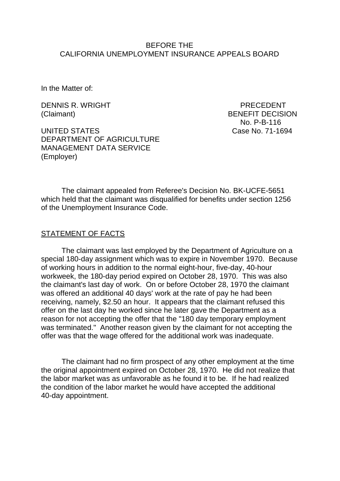#### BEFORE THE CALIFORNIA UNEMPLOYMENT INSURANCE APPEALS BOARD

In the Matter of:

DENNIS R. WRIGHT PRECEDENT (Claimant) BENEFIT DECISION

UNITED STATES Case No. 71-1694 DEPARTMENT OF AGRICULTURE MANAGEMENT DATA SERVICE (Employer)

No. P-B-116

The claimant appealed from Referee's Decision No. BK-UCFE-5651 which held that the claimant was disqualified for benefits under section 1256 of the Unemployment Insurance Code.

#### STATEMENT OF FACTS

The claimant was last employed by the Department of Agriculture on a special 180-day assignment which was to expire in November 1970. Because of working hours in addition to the normal eight-hour, five-day, 40-hour workweek, the 180-day period expired on October 28, 1970. This was also the claimant's last day of work. On or before October 28, 1970 the claimant was offered an additional 40 days' work at the rate of pay he had been receiving, namely, \$2.50 an hour. It appears that the claimant refused this offer on the last day he worked since he later gave the Department as a reason for not accepting the offer that the "180 day temporary employment was terminated." Another reason given by the claimant for not accepting the offer was that the wage offered for the additional work was inadequate.

The claimant had no firm prospect of any other employment at the time the original appointment expired on October 28, 1970. He did not realize that the labor market was as unfavorable as he found it to be. If he had realized the condition of the labor market he would have accepted the additional 40-day appointment.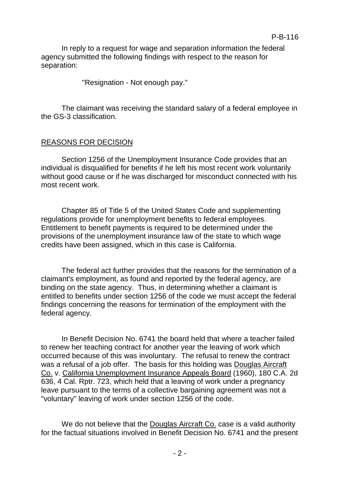In reply to a request for wage and separation information the federal agency submitted the following findings with respect to the reason for separation:

"Resignation - Not enough pay."

The claimant was receiving the standard salary of a federal employee in the GS-3 classification.

## REASONS FOR DECISION

Section 1256 of the Unemployment Insurance Code provides that an individual is disqualified for benefits if he left his most recent work voluntarily without good cause or if he was discharged for misconduct connected with his most recent work.

Chapter 85 of Title 5 of the United States Code and supplementing regulations provide for unemployment benefits to federal employees. Entitlement to benefit payments is required to be determined under the provisions of the unemployment insurance law of the state to which wage credits have been assigned, which in this case is California.

The federal act further provides that the reasons for the termination of a claimant's employment, as found and reported by the federal agency, are binding on the state agency. Thus, in determining whether a claimant is entitled to benefits under section 1256 of the code we must accept the federal findings concerning the reasons for termination of the employment with the federal agency.

In Benefit Decision No. 6741 the board held that where a teacher failed to renew her teaching contract for another year the leaving of work which occurred because of this was involuntary. The refusal to renew the contract was a refusal of a job offer. The basis for this holding was Douglas Aircraft Co. v. California Unemployment Insurance Appeals Board (1960), 180 C.A. 2d 636, 4 Cal. Rptr. 723, which held that a leaving of work under a pregnancy leave pursuant to the terms of a collective bargaining agreement was not a "voluntary" leaving of work under section 1256 of the code.

We do not believe that the Douglas Aircraft Co. case is a valid authority for the factual situations involved in Benefit Decision No. 6741 and the present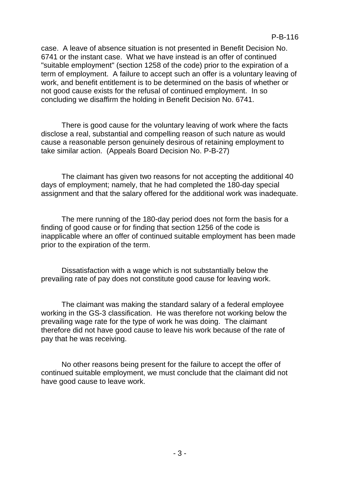case. A leave of absence situation is not presented in Benefit Decision No. 6741 or the instant case. What we have instead is an offer of continued "suitable employment" (section 1258 of the code) prior to the expiration of a term of employment. A failure to accept such an offer is a voluntary leaving of work, and benefit entitlement is to be determined on the basis of whether or not good cause exists for the refusal of continued employment. In so concluding we disaffirm the holding in Benefit Decision No. 6741.

There is good cause for the voluntary leaving of work where the facts disclose a real, substantial and compelling reason of such nature as would cause a reasonable person genuinely desirous of retaining employment to take similar action. (Appeals Board Decision No. P-B-27)

The claimant has given two reasons for not accepting the additional 40 days of employment; namely, that he had completed the 180-day special assignment and that the salary offered for the additional work was inadequate.

The mere running of the 180-day period does not form the basis for a finding of good cause or for finding that section 1256 of the code is inapplicable where an offer of continued suitable employment has been made prior to the expiration of the term.

Dissatisfaction with a wage which is not substantially below the prevailing rate of pay does not constitute good cause for leaving work.

The claimant was making the standard salary of a federal employee working in the GS-3 classification. He was therefore not working below the prevailing wage rate for the type of work he was doing. The claimant therefore did not have good cause to leave his work because of the rate of pay that he was receiving.

No other reasons being present for the failure to accept the offer of continued suitable employment, we must conclude that the claimant did not have good cause to leave work.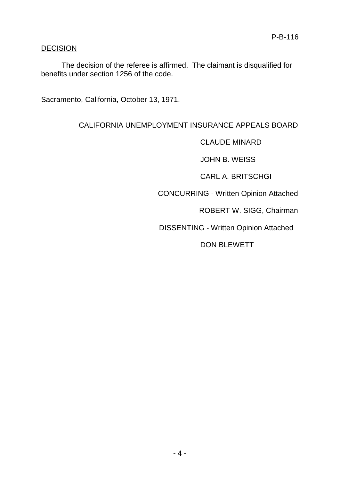## **DECISION**

The decision of the referee is affirmed. The claimant is disqualified for benefits under section 1256 of the code.

Sacramento, California, October 13, 1971.

# CALIFORNIA UNEMPLOYMENT INSURANCE APPEALS BOARD

CLAUDE MINARD

JOHN B. WEISS

CARL A. BRITSCHGI

CONCURRING - Written Opinion Attached

ROBERT W. SIGG, Chairman

DISSENTING - Written Opinion Attached

DON BLEWETT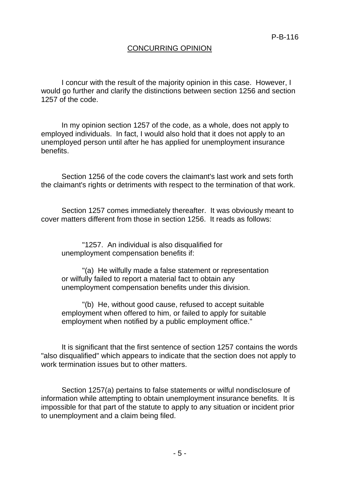## CONCURRING OPINION

I concur with the result of the majority opinion in this case. However, I would go further and clarify the distinctions between section 1256 and section 1257 of the code.

In my opinion section 1257 of the code, as a whole, does not apply to employed individuals. In fact, I would also hold that it does not apply to an unemployed person until after he has applied for unemployment insurance benefits.

Section 1256 of the code covers the claimant's last work and sets forth the claimant's rights or detriments with respect to the termination of that work.

Section 1257 comes immediately thereafter. It was obviously meant to cover matters different from those in section 1256. It reads as follows:

"1257. An individual is also disqualified for unemployment compensation benefits if:

"(a) He wilfully made a false statement or representation or wilfully failed to report a material fact to obtain any unemployment compensation benefits under this division.

"(b) He, without good cause, refused to accept suitable employment when offered to him, or failed to apply for suitable employment when notified by a public employment office."

It is significant that the first sentence of section 1257 contains the words "also disqualified" which appears to indicate that the section does not apply to work termination issues but to other matters.

Section 1257(a) pertains to false statements or wilful nondisclosure of information while attempting to obtain unemployment insurance benefits. It is impossible for that part of the statute to apply to any situation or incident prior to unemployment and a claim being filed.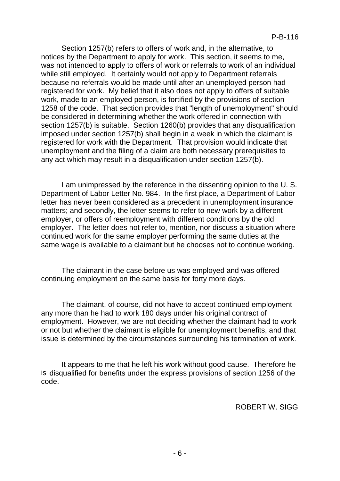Section 1257(b) refers to offers of work and, in the alternative, to notices by the Department to apply for work. This section, it seems to me, was not intended to apply to offers of work or referrals to work of an individual while still employed. It certainly would not apply to Department referrals because no referrals would be made until after an unemployed person had registered for work. My belief that it also does not apply to offers of suitable work, made to an employed person, is fortified by the provisions of section 1258 of the code. That section provides that "length of unemployment" should be considered in determining whether the work offered in connection with section 1257(b) is suitable. Section 1260(b) provides that any disqualification imposed under section 1257(b) shall begin in a week in which the claimant is registered for work with the Department. That provision would indicate that unemployment and the filing of a claim are both necessary prerequisites to any act which may result in a disqualification under section 1257(b).

I am unimpressed by the reference in the dissenting opinion to the U. S. Department of Labor Letter No. 984. In the first place, a Department of Labor letter has never been considered as a precedent in unemployment insurance matters; and secondly, the letter seems to refer to new work by a different employer, or offers of reemployment with different conditions by the old employer. The letter does not refer to, mention, nor discuss a situation where continued work for the same employer performing the same duties at the same wage is available to a claimant but he chooses not to continue working.

The claimant in the case before us was employed and was offered continuing employment on the same basis for forty more days.

The claimant, of course, did not have to accept continued employment any more than he had to work 180 days under his original contract of employment. However, we are not deciding whether the claimant had to work or not but whether the claimant is eligible for unemployment benefits, and that issue is determined by the circumstances surrounding his termination of work.

It appears to me that he left his work without good cause. Therefore he is disqualified for benefits under the express provisions of section 1256 of the code.

ROBERT W. SIGG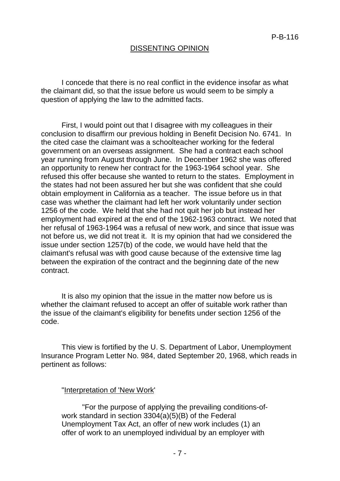## DISSENTING OPINION

I concede that there is no real conflict in the evidence insofar as what the claimant did, so that the issue before us would seem to be simply a question of applying the law to the admitted facts.

First, I would point out that I disagree with my colleagues in their conclusion to disaffirm our previous holding in Benefit Decision No. 6741. In the cited case the claimant was a schoolteacher working for the federal government on an overseas assignment. She had a contract each school year running from August through June. In December 1962 she was offered an opportunity to renew her contract for the 1963-1964 school year. She refused this offer because she wanted to return to the states. Employment in the states had not been assured her but she was confident that she could obtain employment in California as a teacher. The issue before us in that case was whether the claimant had left her work voluntarily under section 1256 of the code. We held that she had not quit her job but instead her employment had expired at the end of the 1962-1963 contract. We noted that her refusal of 1963-1964 was a refusal of new work, and since that issue was not before us, we did not treat it. It is my opinion that had we considered the issue under section 1257(b) of the code, we would have held that the claimant's refusal was with good cause because of the extensive time lag between the expiration of the contract and the beginning date of the new contract.

It is also my opinion that the issue in the matter now before us is whether the claimant refused to accept an offer of suitable work rather than the issue of the claimant's eligibility for benefits under section 1256 of the code.

This view is fortified by the U. S. Department of Labor, Unemployment Insurance Program Letter No. 984, dated September 20, 1968, which reads in pertinent as follows:

"Interpretation of 'New Work'

"For the purpose of applying the prevailing conditions-ofwork standard in section 3304(a)(5)(B) of the Federal Unemployment Tax Act, an offer of new work includes (1) an offer of work to an unemployed individual by an employer with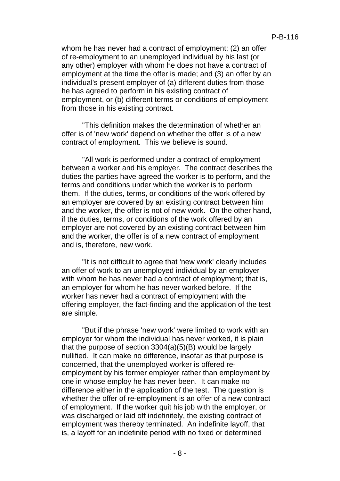whom he has never had a contract of employment; (2) an offer of re-employment to an unemployed individual by his last (or any other) employer with whom he does not have a contract of employment at the time the offer is made; and (3) an offer by an individual's present employer of (a) different duties from those he has agreed to perform in his existing contract of employment, or (b) different terms or conditions of employment from those in his existing contract.

"This definition makes the determination of whether an offer is of 'new work' depend on whether the offer is of a new contract of employment. This we believe is sound.

"All work is performed under a contract of employment between a worker and his employer. The contract describes the duties the parties have agreed the worker is to perform, and the terms and conditions under which the worker is to perform them. If the duties, terms, or conditions of the work offered by an employer are covered by an existing contract between him and the worker, the offer is not of new work. On the other hand, if the duties, terms, or conditions of the work offered by an employer are not covered by an existing contract between him and the worker, the offer is of a new contract of employment and is, therefore, new work.

"It is not difficult to agree that 'new work' clearly includes an offer of work to an unemployed individual by an employer with whom he has never had a contract of employment; that is, an employer for whom he has never worked before. If the worker has never had a contract of employment with the offering employer, the fact-finding and the application of the test are simple.

"But if the phrase 'new work' were limited to work with an employer for whom the individual has never worked, it is plain that the purpose of section 3304(a)(5)(B) would be largely nullified. It can make no difference, insofar as that purpose is concerned, that the unemployed worker is offered reemployment by his former employer rather than employment by one in whose employ he has never been. It can make no difference either in the application of the test. The question is whether the offer of re-employment is an offer of a new contract of employment. If the worker quit his job with the employer, or was discharged or laid off indefinitely, the existing contract of employment was thereby terminated. An indefinite layoff, that is, a layoff for an indefinite period with no fixed or determined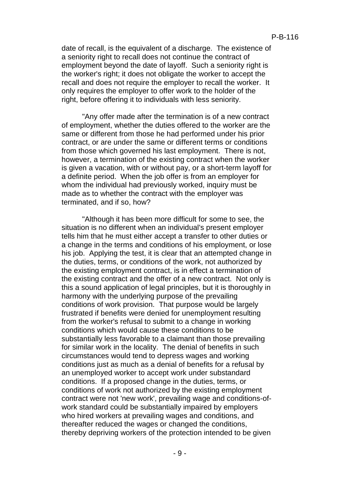date of recall, is the equivalent of a discharge. The existence of a seniority right to recall does not continue the contract of employment beyond the date of layoff. Such a seniority right is the worker's right; it does not obligate the worker to accept the recall and does not require the employer to recall the worker. It only requires the employer to offer work to the holder of the right, before offering it to individuals with less seniority.

"Any offer made after the termination is of a new contract of employment, whether the duties offered to the worker are the same or different from those he had performed under his prior contract, or are under the same or different terms or conditions from those which governed his last employment. There is not, however, a termination of the existing contract when the worker is given a vacation, with or without pay, or a short-term layoff for a definite period. When the job offer is from an employer for whom the individual had previously worked, inquiry must be made as to whether the contract with the employer was terminated, and if so, how?

"Although it has been more difficult for some to see, the situation is no different when an individual's present employer tells him that he must either accept a transfer to other duties or a change in the terms and conditions of his employment, or lose his job. Applying the test, it is clear that an attempted change in the duties, terms, or conditions of the work, not authorized by the existing employment contract, is in effect a termination of the existing contract and the offer of a new contract. Not only is this a sound application of legal principles, but it is thoroughly in harmony with the underlying purpose of the prevailing conditions of work provision. That purpose would be largely frustrated if benefits were denied for unemployment resulting from the worker's refusal to submit to a change in working conditions which would cause these conditions to be substantially less favorable to a claimant than those prevailing for similar work in the locality. The denial of benefits in such circumstances would tend to depress wages and working conditions just as much as a denial of benefits for a refusal by an unemployed worker to accept work under substandard conditions. If a proposed change in the duties, terms, or conditions of work not authorized by the existing employment contract were not 'new work', prevailing wage and conditions-ofwork standard could be substantially impaired by employers who hired workers at prevailing wages and conditions, and thereafter reduced the wages or changed the conditions, thereby depriving workers of the protection intended to be given